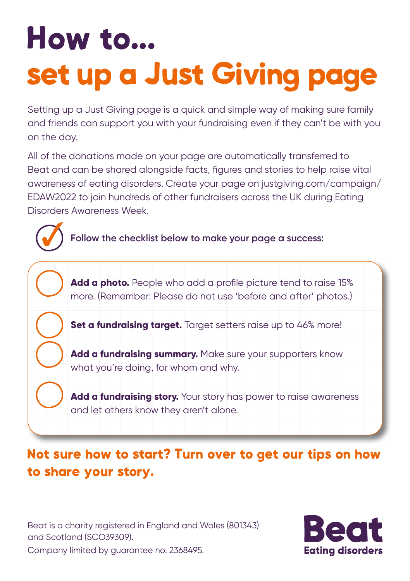# How to... set up a Just Giving page

Setting up a Just Giving page is a quick and simple way of making sure family and friends can support you with your fundraising even if they can't be with you on the day.

All of the donations made on your page are automatically transferred to Beat and can be shared alongside facts, figures and stories to help raise vital awareness of eating disorders. Create your page on justgiving.com/campaign/ EDAW2022 to join hundreds of other fundraisers across the UK during Eating Disorders Awareness Week.

**Follow the checklist below to make your page a success:** 



### Not sure how to start? Turn over to get our tips on how to share your story.

Beat is a charity registered in England and Wales (801343) and Scotland (SCO39309).



Company limited by guarantee no. 2368495.

3